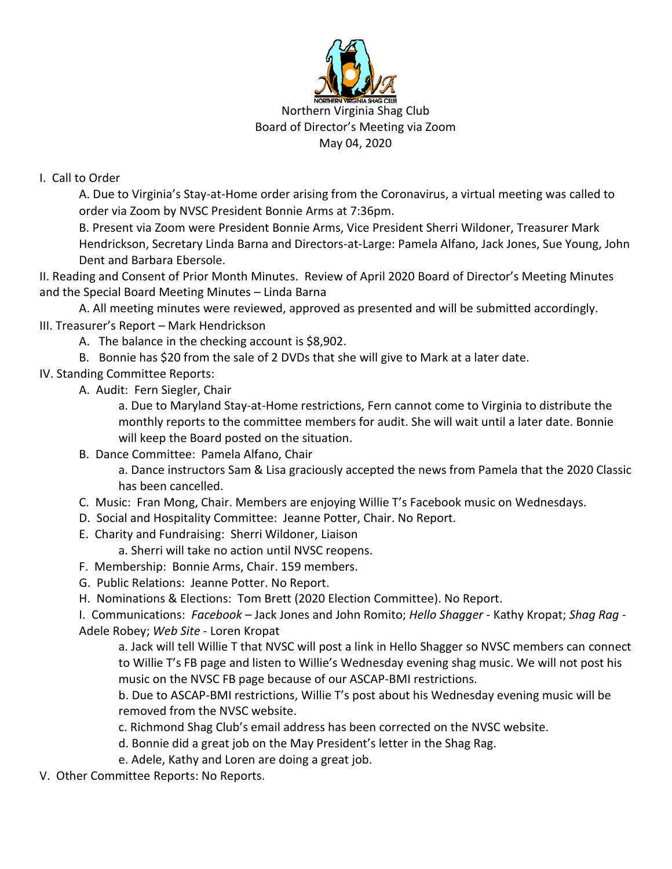

May 04, 2020

## I. Call to Order

A. Due to Virginia's Stay-at-Home order arising from the Coronavirus, a virtual meeting was called to order via Zoom by NVSC President Bonnie Arms at 7:36pm.

B. Present via Zoom were President Bonnie Arms, Vice President Sherri Wildoner, Treasurer Mark Hendrickson, Secretary Linda Barna and Directors-at-Large: Pamela Alfano, Jack Jones, Sue Young, John Dent and Barbara Ebersole.

II. Reading and Consent of Prior Month Minutes. Review of April 2020 Board of Director's Meeting Minutes and the Special Board Meeting Minutes – Linda Barna

A. All meeting minutes were reviewed, approved as presented and will be submitted accordingly. III. Treasurer's Report – Mark Hendrickson

A. The balance in the checking account is \$8,902.

B. Bonnie has \$20 from the sale of 2 DVDs that she will give to Mark at a later date.

IV. Standing Committee Reports:

A. Audit: Fern Siegler, Chair

a. Due to Maryland Stay-at-Home restrictions, Fern cannot come to Virginia to distribute the monthly reports to the committee members for audit. She will wait until a later date. Bonnie will keep the Board posted on the situation.

B. Dance Committee: Pamela Alfano, Chair

a. Dance instructors Sam & Lisa graciously accepted the news from Pamela that the 2020 Classic has been cancelled.

- C. Music: Fran Mong, Chair. Members are enjoying Willie T's Facebook music on Wednesdays.
- D. Social and Hospitality Committee: Jeanne Potter, Chair. No Report.
- E. Charity and Fundraising: Sherri Wildoner, Liaison

a. Sherri will take no action until NVSC reopens.

- F. Membership: Bonnie Arms, Chair. 159 members.
- G. Public Relations: Jeanne Potter. No Report.
- H. Nominations & Elections: Tom Brett (2020 Election Committee). No Report.

I. Communications: *Facebook –* Jack Jones and John Romito; *Hello Shagger* - Kathy Kropat; *Shag Rag* - Adele Robey; *Web Site -* Loren Kropat

a. Jack will tell Willie T that NVSC will post a link in Hello Shagger so NVSC members can connect to Willie T's FB page and listen to Willie's Wednesday evening shag music. We will not post his music on the NVSC FB page because of our ASCAP-BMI restrictions.

b. Due to ASCAP-BMI restrictions, Willie T's post about his Wednesday evening music will be removed from the NVSC website.

- c. Richmond Shag Club's email address has been corrected on the NVSC website.
- d. Bonnie did a great job on the May President's letter in the Shag Rag.
- e. Adele, Kathy and Loren are doing a great job.
- V. Other Committee Reports: No Reports.